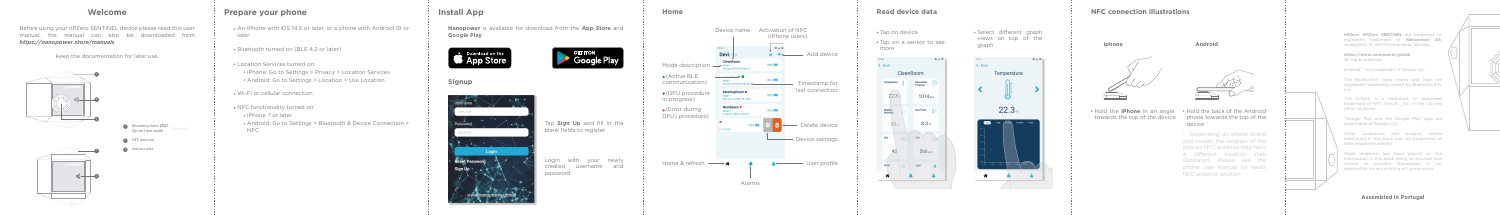#### **Assembled in Portugal**

**nPZero**, **NPZero SENTINEL** are trademark or registered trademark of **Nanopower AS**, Andøyfaret 15, 4623 Kristiansand, Norway

*https://www.nanopower.global* All rights reserved.

The N-Mark is a trademark or registered trademark of NFC Forum, Inc. in the US and other countries

Android ™ is a trademark of Google Inc.

The Bluetooth® word marks and logo are registered trademarks owned by Bluetooth SIG, Inc.

Great emphasis has been placed on the information in this book being as accurate and correct as possible. Nanopower is not responsible for any printing or typing errors

"Google Play and the Google Play logo are trademarks of Google LLC."

Other companies and product names mentioned in this book may be trademarks of their respective owners

Login with your newly created username and password

### **Welcome**

Before using your nPZero SENTINEL device please read this user manual, the manual can also be downloaded from *https://nanopower.store/manuals*

Keep the documentation for later use.

#### **Prepare your phone**

- An iPhone with iOS 14.5 or later, or a phone with Android 10 or later
- Bluetooth turned on (BLE 4.2 or later)
- Location Services turned on:
- iPhone: Go to Settings > Privacy > Location Services Android: Go to Settings > Location > Use Location
- Wi-Fi or cellular connection
- NFC functionality turned on:
- iPhone 7 or later
- Android: Go to Settings > Bluetooth & Device Connection > NFC

#### Tap **Sign Up** and fill in the blank fields to register

## **Signup**



# **Install App**

**Nanopower** is available for download from the **App Store** and **Google Play**





#### **NFC connection illustrations**

Hold the **iPhone** in an angle Hold the back of the Android towards the top of the device phone towards the top of the

device \*

\* Depending on phone brand and model, the location of the phones NFC antenna may have a different location then illustrated. Please see the phone user manual for exact NFC antenna location







 $\begin{picture}(100,20) \put(0,0){\line(1,0){10}} \put(15,0){\line(1,0){10}} \put(15,0){\line(1,0){10}} \put(15,0){\line(1,0){10}} \put(15,0){\line(1,0){10}} \put(15,0){\line(1,0){10}} \put(15,0){\line(1,0){10}} \put(15,0){\line(1,0){10}} \put(15,0){\line(1,0){10}} \put(15,0){\line(1,0){10}} \put(15,0){\line(1,0){10}} \put(15,0){\line($ 





- **1 Mounting holes ØM3** (Optional)<br>**Zip tie 5mm width**
- **3** NFC antenna<br>3 Sensors area

**Home**





Select different graph views on top of the graph